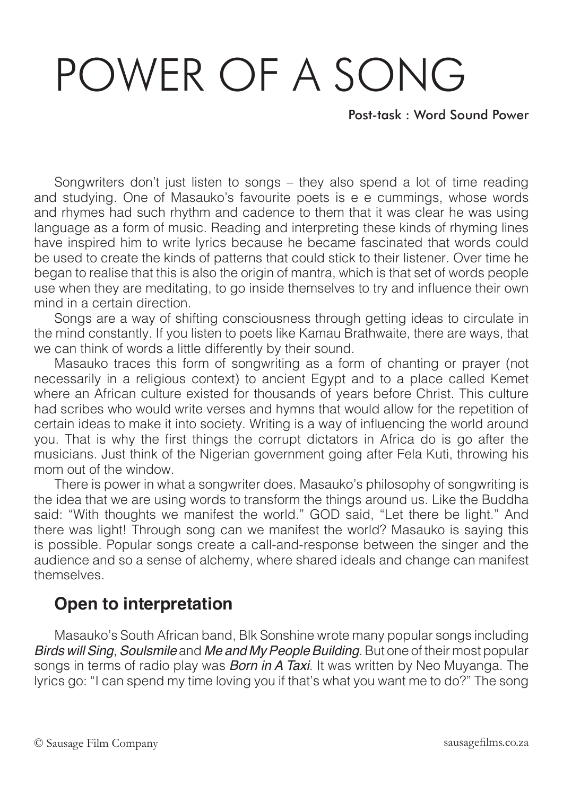## POWER OF A SONG

Post-task : Word Sound Power

Songwriters don't just listen to songs – they also spend a lot of time reading and studying. One of Masauko's favourite poets is e e cummings, whose words and rhymes had such rhythm and cadence to them that it was clear he was using language as a form of music. Reading and interpreting these kinds of rhyming lines have inspired him to write lyrics because he became fascinated that words could be used to create the kinds of patterns that could stick to their listener. Over time he began to realise that this is also the origin of mantra, which is that set of words people use when they are meditating, to go inside themselves to try and influence their own mind in a certain direction.

Songs are a way of shifting consciousness through getting ideas to circulate in the mind constantly. If you listen to poets like Kamau Brathwaite, there are ways, that we can think of words a little differently by their sound.

Masauko traces this form of songwriting as a form of chanting or prayer (not necessarily in a religious context) to ancient Egypt and to a place called Kemet where an African culture existed for thousands of years before Christ. This culture had scribes who would write verses and hymns that would allow for the repetition of certain ideas to make it into society. Writing is a way of influencing the world around you. That is why the first things the corrupt dictators in Africa do is go after the musicians. Just think of the Nigerian government going after Fela Kuti, throwing his mom out of the window.

There is power in what a songwriter does. Masauko's philosophy of songwriting is the idea that we are using words to transform the things around us. Like the Buddha said: "With thoughts we manifest the world." GOD said, "Let there be light." And there was light! Through song can we manifest the world? Masauko is saying this is possible. Popular songs create a call-and-response between the singer and the audience and so a sense of alchemy, where shared ideals and change can manifest themselves.

## **Open to interpretation**

Masauko's South African band, Blk Sonshine wrote many popular songs including *Birds will Sing*, *Soulsmile* and *Me and My People Building*. But one of their most popular songs in terms of radio play was *Born in A Taxi*. It was written by Neo Muyanga. The lyrics go: "I can spend my time loving you if that's what you want me to do?" The song